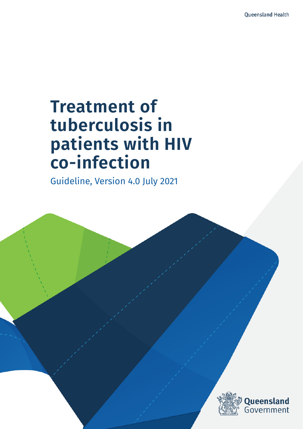# **Treatment of tuberculosis in patients with HIV co-infection**

Guideline, Version 4.0 July 2021

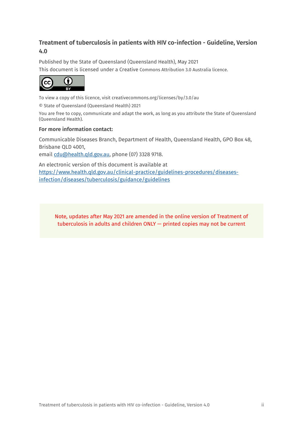#### **Treatment of tuberculosis in patients with HIV co-infection - Guideline, Version 4.0**

Published by the State of Queensland (Queensland Health), May 2021 This document is licensed under a Creative Commons Attribution 3.0 Australia licence.



To view a copy of this licence, visit creativecommons.org/licenses/by/3.0/au

© State of Queensland (Queensland Health) 2021

You are free to copy, communicate and adapt the work, as long as you attribute the State of Queensland (Queensland Health).

#### **For more information contact:**

Communicable Diseases Branch, Department of Health, Queensland Health, GPO Box 48, Brisbane QLD 4001,

email cdu@health.qld.gov.au, phone (07) 3328 9718.

An electronic version of this document is available at [https://www.health.qld.gov.au/clinical-practice/guidelines-procedures/diseases](https://www.health.qld.gov.au/clinical-practice/guidelines-procedures/diseases-infection/diseases/tuberculosis/guidance/guidelines)[infection/diseases/tuberculosis/guidance/guidelines](https://www.health.qld.gov.au/clinical-practice/guidelines-procedures/diseases-infection/diseases/tuberculosis/guidance/guidelines)

Note, updates after May 2021 are amended in the online version of Treatment of tuberculosis in adults and children ONLY — printed copies may not be current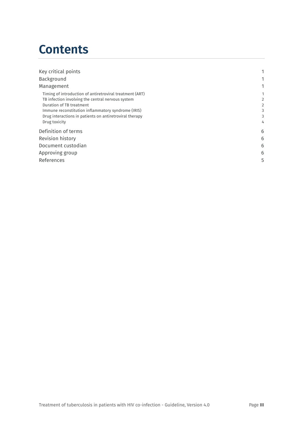## **Contents**

| Key critical points                                      |   |
|----------------------------------------------------------|---|
| Background                                               |   |
| Management                                               |   |
| Timing of introduction of antiretroviral treatment (ART) |   |
| TB infection involving the central nervous system        | 2 |
| Duration of TB treatment                                 | 2 |
| Immune reconstitution inflammatory syndrome (IRIS)       | 3 |
| Drug interactions in patients on antiretroviral therapy  | 3 |
| Drug toxicity                                            | 4 |
| Definition of terms                                      | 6 |
| Revision history                                         | 6 |
| Document custodian                                       | 6 |
| Approving group                                          | 6 |
| References                                               | 5 |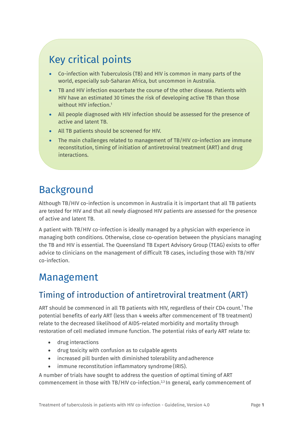### Key critical points

- Co-infection with Tuberculosis (TB) and HIV is common in many parts of the world, especially sub-Saharan Africa, but uncommon in Australia.
- TB and HIV infection exacerbate the course of the other disease. Patients with HIV have an estimated 30 times the risk of developing active TB than those without HIV infection.<sup>1</sup>
- All people diagnosed with HIV infection should be assessed for the presence of active and latent TB.
- All TB patients should be screened for HIV.
- The main challenges related to management of TB/HIV co-infection are immune reconstitution, timing of initiation of antiretroviral treatment (ART) and drug interactions.

### <span id="page-3-0"></span>Background

Although TB/HIV co-infection is uncommon in Australia it is important that all TB patients are tested for HIV and that all newly diagnosed HIV patients are assessed for the presence of active and latent TB.

A patient with TB/HIV co-infection is ideally managed by a physician with experience in managing both conditions. Otherwise, close co-operation between the physicians managing the TB and HIV is essential. The Queensland TB Expert Advisory Group (TEAG) exists to offer advice to clinicians on the management of difficult TB cases, including those with TB/HIV co-infection.

### <span id="page-3-1"></span>Management

### <span id="page-3-2"></span>Timing of introduction of antiretroviral treatment (ART)

ART should be commenced in all TB patients with HIV, regardless of their CD4 count. 1 The potential benefits of early ART (less than 4 weeks after commencement of TB treatment) relate to the decreased likelihood of AIDS-related morbidity and mortality through restoration of cell mediated immune function. The potential risks of early ART relate to:

- drug interactions
- drug toxicity with confusion as to culpable agents
- increased pill burden with diminished tolerability andadherence
- immune reconstitution inflammatory syndrome (IRIS).

A number of trials have sought to address the question of optimal timing of ART commencement in those with TB/HIV co-infection. 2,3 In general, early commencement of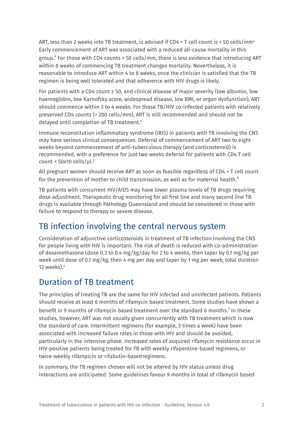ART, less than 2 weeks into TB treatment, is advised if CD4 + T cell count is < 50 cells/mm<sup>3.</sup> Early commencement of ART was associated with a reduced all-cause mortality in this group. <sup>4</sup> For those with CD4 counts > 50 cells/mm, there is less evidence that introducing ART within 8 weeks of commencing TB treatment changes mortality. Nevertheless, it is reasonable to introduce ART within 4 to 8 weeks, once the clinician is satisfied that the TB regimen is being well tolerated and that adherence with HIV drugs is likely.

For patients with a CD4 count  $\geq$  50, and clinical disease of major severity (low albumin, low haemoglobin, low Karnofsky score, widespread disease, low BMI, or organ dysfunction), ART should commence within 2 to 4 weeks. For those TB/HIV co-infected patients with relatively preserved CD4 counts (> 200 cells/mm), ART is still recommended and should not be delayed until completion of TB treatment.5

Immune reconstitution inflammatory syndrome (IRIS) in patients with TB involving the CNS may have serious clinical consequences. Deferral of commencement of ART two to eight weeks beyond commencement of anti-tuberculous therapy (and corticosteroid) is recommended, with a preference for just two weeks deferral for patients with CD4 T cell count <  $50x10$  cells/ul.<sup>5</sup>

All pregnant women should receive ART as soon as feasible regardless of CD4 + T cell count for the prevention of mother to child transmission, as well as for maternal health. $\lq$ 

TB patients with concurrent HIV/AIDS may have lower plasma levels of TB drugs requiring dose adjustment. Therapeutic drug monitoring for all first line and many second line TB drugs is available through Pathology Queensland and should be considered in those with failure to respond to therapy or severe disease.

#### <span id="page-4-0"></span>TB infection involving the central nervous system

Consideration of adjunctive corticosteroids in treatment of TB infection involving the CNS for people living with HIV is important. The risk of death is reduced with co-administration of dexamethasone (dose 0.3 to 0.4 mg/kg/day for 2 to 4 weeks, then taper by 0.1 mg/kg per week until dose of 0.1 mg/kg, then 4 mg per day and taper by 1 mg per week; total duration 12 weeks). 5

#### <span id="page-4-1"></span>Duration of TB treatment

The principles of treating TB are the same for HIV infected and uninfected patients. Patients should receive at least 6 months of rifamycin based treatment. Some studies have shown a benefit in 9 months of rifamycin based treatment over the standard 6 months.<sup>3</sup> In these studies, however, ART was not usually given concurrently with TB treatment which is now the standard of care. Intermittent regimens (for example, 3 times a week) have been associated with increased failure rates in those with HIV and should be avoided, particularly in the intensive phase. Increased rates of acquired rifamycin resistance occur in HIV-positive patients being treated for TB with weekly rifapentine-based regimens, or twice-weekly rifampicin or rifabutin-basedregimens.

In summary, the TB regimen chosen will not be altered by HIV status unless drug interactions are anticipated. Some guidelines favour 9 months in total of rifamycin based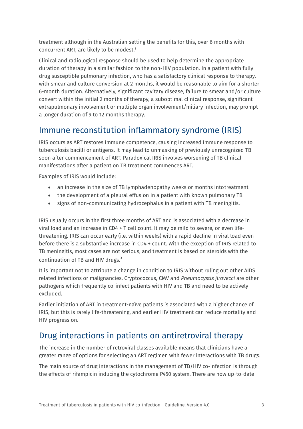treatment although in the Australian setting the benefits for this, over 6 months with concurrent ART, are likely to be modest. 5

Clinical and radiological response should be used to help determine the appropriate duration of therapy in a similar fashion to the non-HIV population. In a patient with fully drug susceptible pulmonary infection, who has a satisfactory clinical response to therapy, with smear and culture conversion at 2 months, it would be reasonable to aim for a shorter 6-month duration. Alternatively, significant cavitary disease, failure to smear and/or culture convert within the initial 2 months of therapy, a suboptimal clinical response, significant extrapulmonary involvement or multiple organ involvement/miliary infection, may prompt a longer duration of 9 to 12 months therapy.

#### <span id="page-5-0"></span>Immune reconstitution inflammatory syndrome (IRIS)

IRIS occurs as ART restores immune competence, causing increased immune response to tuberculosis bacilli or antigens. It may lead to unmasking of previously unrecognized TB soon after commencement of ART. Paradoxical IRIS involves worsening of TB clinical manifestations after a patient on TB treatment commences ART.

Examples of IRIS would include:

- an increase in the size of TB lymphadenopathy weeks or months intotreatment
- the development of a pleural effusion in a patient with known pulmonary TB
- signs of non-communicating hydrocephalus in a patient with TB meningitis.

IRIS usually occurs in the first three months of ART and is associated with a decrease in viral load and an increase in CD4 + T cell count. It may be mild to severe, or even lifethreatening. IRIS can occur early (i.e. within weeks) with a rapid decline in viral load even before there is a substantive increase in CD4 + count. With the exception of IRIS related to TB meningitis, most cases are not serious, and treatment is based on steroids with the continuation of TB and HIV drugs.<sup>3</sup>

It is important not to attribute a change in condition to IRIS without ruling out other AIDS related infections or malignancies. Cryptococcus, CMV and *Pneumocystis jirovecci* are other pathogens which frequently co-infect patients with HIV and TB and need to be actively excluded.

Earlier initiation of ART in treatment-naïve patients is associated with a higher chance of IRIS, but this is rarely life-threatening, and earlier HIV treatment can reduce mortality and HIV progression.

### <span id="page-5-1"></span>Drug interactions in patients on antiretroviral therapy

The increase in the number of retroviral classes available means that clinicians have a greater range of options for selecting an ART regimen with fewer interactions with TB drugs.

The main source of drug interactions in the management of TB/HIV co-infection is through the effects of rifampicin inducing the cytochrome P450 system. There are now up-to-date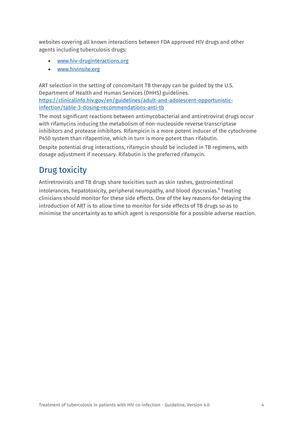websites covering all known interactions between FDA approved HIV drugs and other agents including tuberculosis drugs:

- [www.hiv-druginteractions.org](http://www.hiv-druginteractions.org/)
- [www.hivinsite.org](http://www.hivinsite.org/)

ART selection in the setting of concomitant TB therapy can be guided by the U.S. Department of Health and Human Services (DHHS) guidelines. [https://clinicalinfo.hiv.gov/en/guidelines/adult-and-adolescent-opportunistic](https://clinicalinfo.hiv.gov/en/guidelines/adult-and-adolescent-opportunistic-infection/table-3-dosing-recommendations-anti-tb)[infection/table-3-dosing-recommendations-anti-tb](https://clinicalinfo.hiv.gov/en/guidelines/adult-and-adolescent-opportunistic-infection/table-3-dosing-recommendations-anti-tb)

The most significant reactions between antimycobacterial and antiretroviral drugs occur with rifamycins inducing the metabolism of non-nucleoside reverse transcriptase inhibitors and protease inhibitors. Rifampicin is a more potent inducer of the cytochrome P450 system than rifapentine, which in turn is more potent than rifabutin.

Despite potential drug interactions, rifamycin should be included in TB regimens, with dosage adjustment if necessary. Rifabutin is the preferred rifamycin.

#### <span id="page-6-0"></span>Drug toxicity

Antiretrovirals and TB drugs share toxicities such as skin rashes, gastrointestinal intolerances, hepatotoxicity, peripheral neuropathy, and blood dyscrasias. <sup>6</sup> Treating clinicians should monitor for these side effects. One of the key reasons for delaying the introduction of ART is to allow time to monitor for side effects of TB drugs so as to minimise the uncertainty as to which agent is responsible for a possible adverse reaction.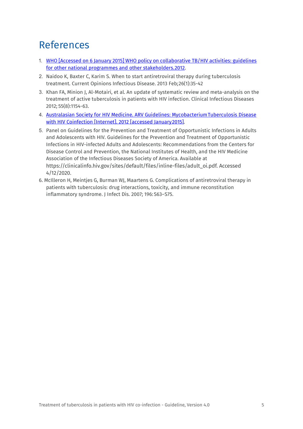### <span id="page-7-0"></span>References

- 1. WHO [Accessed on 6 January 2015] WHO policy on [collaborative](http://apps.who.int/iris/bitstream/10665/44789/1/9789241503006_eng.pdf?ua=1&ua=1) TB/HIV activities: [guidelines](http://apps.who.int/iris/bitstream/10665/44789/1/9789241503006_eng.pdf?ua=1&ua=1)  [for other national programmes and other stakeholders.2012.](http://apps.who.int/iris/bitstream/10665/44789/1/9789241503006_eng.pdf?ua=1&ua=1)
- 2. Naidoo K, Baxter C, Karim S. When to start antiretroviral therapy during tuberculosis treatment. Current Opinions Infectious Disease. 2013 Feb;26(1):35-42
- 3. Khan FA, Minion J, Al-Motairi, et al. An update of systematic review and meta-analysis on the treatment of active tuberculosis in patients with HIV infection. Clinical Infectious Diseases 2012; 55(8):1154-63.
- 4. [Australasian Society for HIV Medicine. ARV Guidelines: MycobacteriumTuberculosis](http://arv.ashm.org.au/arv-guidelines/considerations-for-antiretroviral-use-in-patients-with-coinfections/hiv-tb) [Disease](http://arv.ashm.org.au/arv-guidelines/considerations-for-antiretroviral-use-in-patients-with-coinfections/hiv-tb)  with HIV Coinfection [Internet]. 2012 [accessed January 2015].
- 5. Panel on Guidelines for the Prevention and Treatment of Opportunistic Infections in Adults and Adolescents with HIV. Guidelines for the Prevention and Treatment of Opportunistic Infections in HIV-infected Adults and Adolescents: Recommendations from the Centers for Disease Control and Prevention, the National Institutes of Health, and the HIV Medicine Association of the Infectious Diseases Society of America. Available at [https://clinicalinfo.hiv.gov/sites/default/files/inline-files/adult\\_oi.pdf. Accessed](https://clinicalinfo.hiv.gov/sites/default/files/inline-files/adult_oi.pdf.%20Accessed%204/12/2020)  [4/12/2020.](https://clinicalinfo.hiv.gov/sites/default/files/inline-files/adult_oi.pdf.%20Accessed%204/12/2020)
- 6. McIlleron H, Meintjes G, Burman WJ, Maartens G. Complications of antiretroviral therapy in patients with tuberculosis: drug interactions, toxicity, and immune reconstitution inflammatory syndrome. J Infect Dis. 2007; 196: S63–S75.